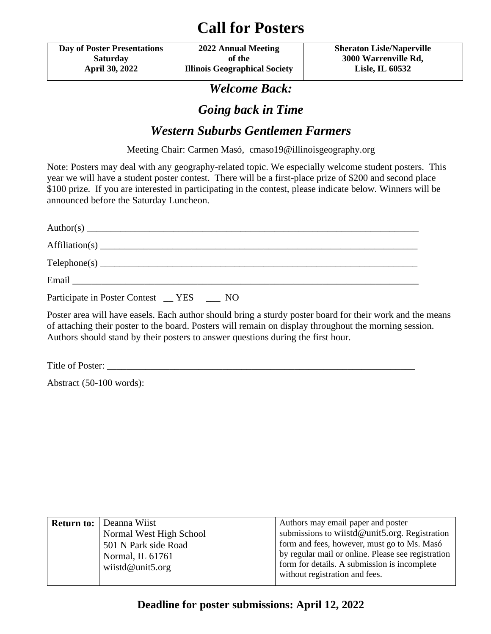## **Call for Posters**

**Day of Poster Presentations Saturday April 30, 2022**

**2022 Annual Meeting of the Illinois Geographical Society** **Sheraton Lisle/Naperville 3000 Warrenville Rd, Lisle, IL 60532**

*Welcome Back:* 

### *Going back in Time*

### *Western Suburbs Gentlemen Farmers*

Meeting Chair: Carmen Masó, cmaso19@illinoisgeography.org

Note: Posters may deal with any geography-related topic. We especially welcome student posters. This year we will have a student poster contest. There will be a first-place prize of \$200 and second place \$100 prize. If you are interested in participating in the contest, please indicate below. Winners will be announced before the Saturday Luncheon.

| $Author(s)$ $\qquad \qquad$              |
|------------------------------------------|
|                                          |
|                                          |
|                                          |
| Participate in Poster Contest _ YES _ NO |

Poster area will have easels. Each author should bring a sturdy poster board for their work and the means of attaching their poster to the board. Posters will remain on display throughout the morning session. Authors should stand by their posters to answer questions during the first hour.

Title of Poster:

Abstract (50-100 words):

| <b>Return to:</b> Deanna Wiist | Authors may email paper and poster                 |
|--------------------------------|----------------------------------------------------|
| Normal West High School        | submissions to wiistd@unit5.org. Registration      |
| 501 N Park side Road           | form and fees, however, must go to Ms. Masó        |
| Normal, IL 61761               | by regular mail or online. Please see registration |
| wiistd@unit5.org               | form for details. A submission is incomplete       |
|                                | without registration and fees.                     |
|                                |                                                    |